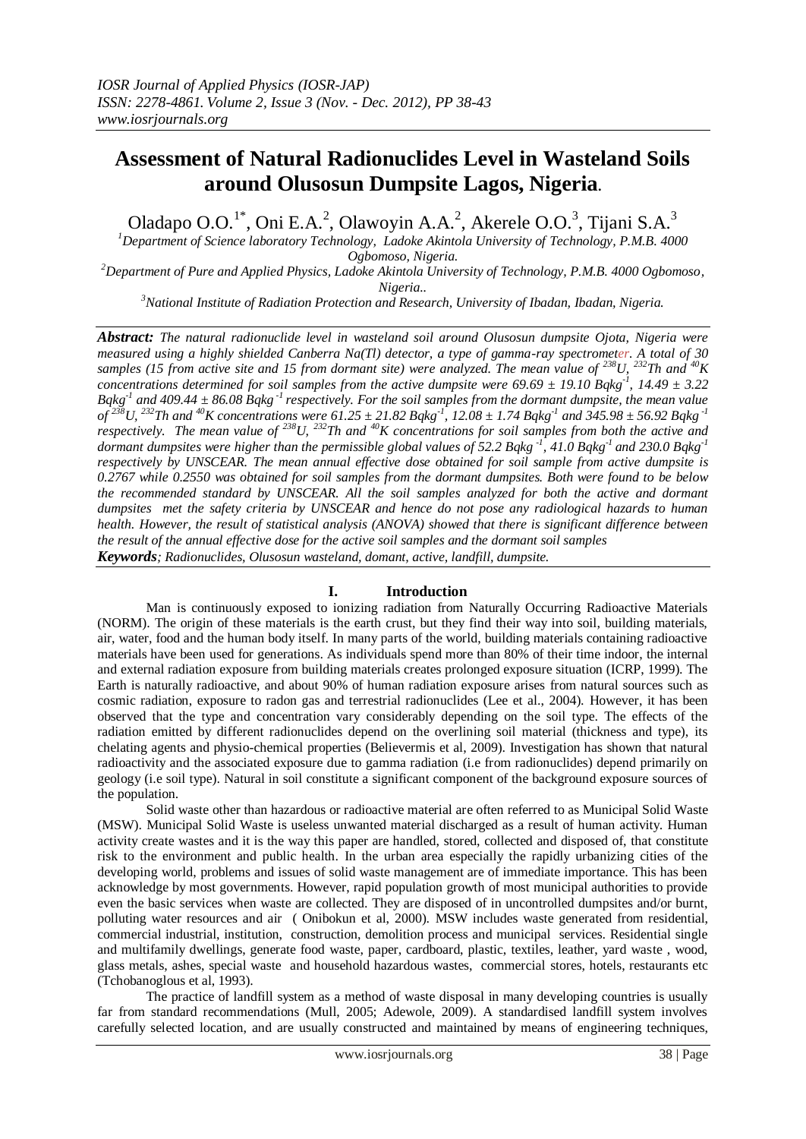# **Assessment of Natural Radionuclides Level in Wasteland Soils around Olusosun Dumpsite Lagos, Nigeria.**

Oladapo O.O.<sup>1\*</sup>, Oni E.A.<sup>2</sup>, Olawoyin A.A.<sup>2</sup>, Akerele O.O.<sup>3</sup>, Tijani S.A.<sup>3</sup>

*<sup>1</sup>Department of Science laboratory Technology, Ladoke Akintola University of Technology, P.M.B. 4000 Ogbomoso, Nigeria.*

*<sup>2</sup>Department of Pure and Applied Physics, Ladoke Akintola University of Technology, P.M.B. 4000 Ogbomoso, Nigeria..*

*<sup>3</sup>National Institute of Radiation Protection and Research, University of Ibadan, Ibadan, Nigeria.*

*Abstract: The natural radionuclide level in wasteland soil around Olusosun dumpsite Ojota, Nigeria were measured using a highly shielded Canberra Na(Tl) detector, a type of gamma-ray spectrometer. A total of 30 samples (15 from active site and 15 from dormant site) were analyzed. The mean value of <sup>238</sup>U, <sup>232</sup>Th and <sup>40</sup>K concentrations determined for soil samples from the active dumpsite were 69.69 ± 19.10 Bqkg-1 , 14.49 ± 3.22*  $Bqkg<sup>-1</sup>$  and 409.44  $\pm$  86.08  $Bqkg<sup>-1</sup>$  respectively. For the soil samples from the dormant dumpsite, the mean value  $\sigma f^{238}U$ , <sup>232</sup>Th and <sup>40</sup>K concentrations were 61.25 ± 21.82 Bqkg<sup>-1</sup>, 12.08 ± 1.74 Bqkg<sup>-1</sup> and 345.98 ± 56.92 Bqkg<sup>-1</sup> *respectively. The mean value of <sup>238</sup>U, <sup>232</sup>Th and <sup>40</sup>K concentrations for soil samples from both the active and dormant dumpsites were higher than the permissible global values of 52.2 Bqkg -1 , 41.0 Bqkg-1 and 230.0 Bqkg-1 respectively by UNSCEAR. The mean annual effective dose obtained for soil sample from active dumpsite is 0.2767 while 0.2550 was obtained for soil samples from the dormant dumpsites. Both were found to be below the recommended standard by UNSCEAR. All the soil samples analyzed for both the active and dormant dumpsites met the safety criteria by UNSCEAR and hence do not pose any radiological hazards to human health. However, the result of statistical analysis (ANOVA) showed that there is significant difference between the result of the annual effective dose for the active soil samples and the dormant soil samples*

*Keywords; Radionuclides, Olusosun wasteland, domant, active, landfill, dumpsite.*

#### **I. Introduction**

Man is continuously exposed to ionizing radiation from Naturally Occurring Radioactive Materials (NORM). The origin of these materials is the earth crust, but they find their way into soil, building materials, air, water, food and the human body itself. In many parts of the world, building materials containing radioactive materials have been used for generations. As individuals spend more than 80% of their time indoor, the internal and external radiation exposure from building materials creates prolonged exposure situation (ICRP, 1999). The Earth is naturally radioactive, and about 90% of human radiation exposure arises from natural sources such as cosmic radiation, exposure to radon gas and terrestrial radionuclides (Lee et al., 2004). However, it has been observed that the type and concentration vary considerably depending on the soil type. The effects of the radiation emitted by different radionuclides depend on the overlining soil material (thickness and type), its chelating agents and physio-chemical properties (Believermis et al, 2009). Investigation has shown that natural radioactivity and the associated exposure due to gamma radiation (i.e from radionuclides) depend primarily on geology (i.e soil type). Natural in soil constitute a significant component of the background exposure sources of the population.

Solid waste other than hazardous or radioactive material are often referred to as Municipal Solid Waste (MSW). Municipal Solid Waste is useless unwanted material discharged as a result of human activity. Human activity create wastes and it is the way this paper are handled, stored, collected and disposed of, that constitute risk to the environment and public health. In the urban area especially the rapidly urbanizing cities of the developing world, problems and issues of solid waste management are of immediate importance. This has been acknowledge by most governments. However, rapid population growth of most municipal authorities to provide even the basic services when waste are collected. They are disposed of in uncontrolled dumpsites and/or burnt, polluting water resources and air ( Onibokun et al, 2000). MSW includes waste generated from residential, commercial industrial, institution, construction, demolition process and municipal services. Residential single and multifamily dwellings, generate food waste, paper, cardboard, plastic, textiles, leather, yard waste , wood, glass metals, ashes, special waste and household hazardous wastes, commercial stores, hotels, restaurants etc (Tchobanoglous et al, 1993).

The practice of landfill system as a method of waste disposal in many developing countries is usually far from standard recommendations (Mull, 2005; Adewole, 2009). A standardised landfill system involves carefully selected location, and are usually constructed and maintained by means of engineering techniques,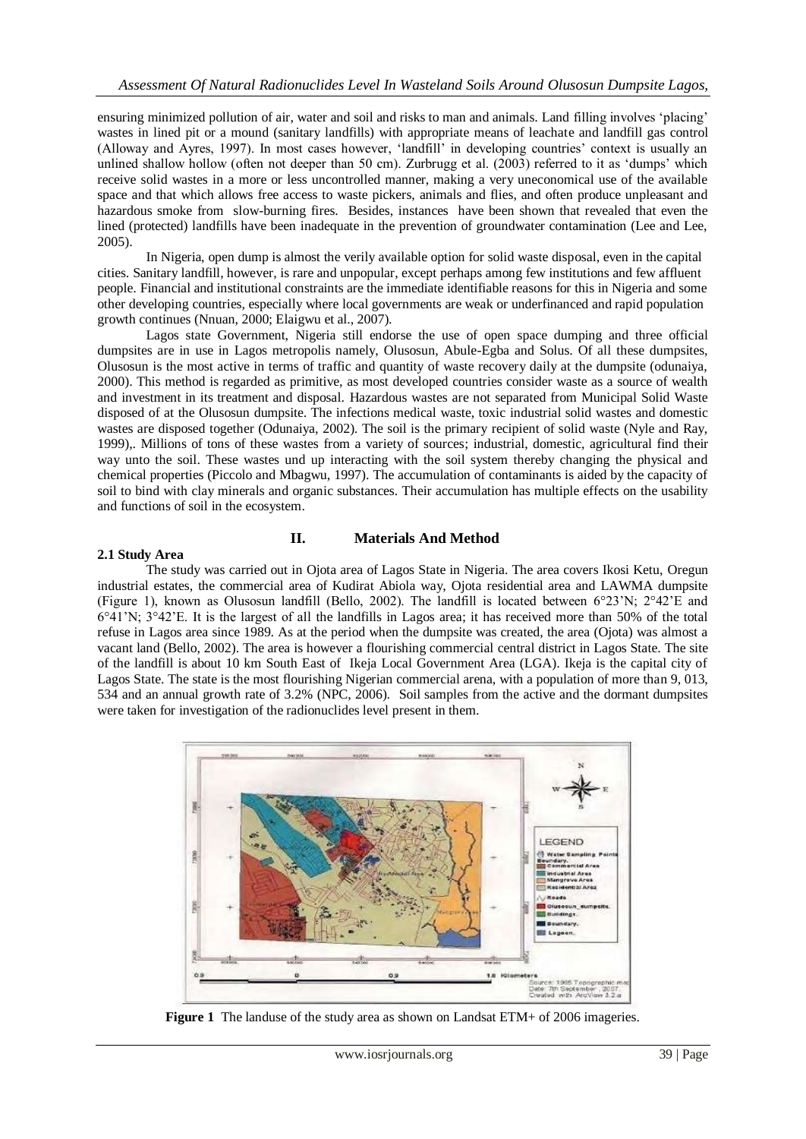ensuring minimized pollution of air, water and soil and risks to man and animals. Land filling involves 'placing' wastes in lined pit or a mound (sanitary landfills) with appropriate means of leachate and landfill gas control (Alloway and Ayres, 1997). In most cases however, 'landfill' in developing countries' context is usually an unlined shallow hollow (often not deeper than 50 cm). Zurbrugg et al. (2003) referred to it as 'dumps' which receive solid wastes in a more or less uncontrolled manner, making a very uneconomical use of the available space and that which allows free access to waste pickers, animals and flies, and often produce unpleasant and hazardous smoke from slow-burning fires. Besides, instances have been shown that revealed that even the lined (protected) landfills have been inadequate in the prevention of groundwater contamination (Lee and Lee, 2005).

In Nigeria, open dump is almost the verily available option for solid waste disposal, even in the capital cities. Sanitary landfill, however, is rare and unpopular, except perhaps among few institutions and few affluent people. Financial and institutional constraints are the immediate identifiable reasons for this in Nigeria and some other developing countries, especially where local governments are weak or underfinanced and rapid population growth continues (Nnuan, 2000; Elaigwu et al., 2007).

Lagos state Government, Nigeria still endorse the use of open space dumping and three official dumpsites are in use in Lagos metropolis namely, Olusosun, Abule-Egba and Solus. Of all these dumpsites, Olusosun is the most active in terms of traffic and quantity of waste recovery daily at the dumpsite (odunaiya, 2000). This method is regarded as primitive, as most developed countries consider waste as a source of wealth and investment in its treatment and disposal. Hazardous wastes are not separated from Municipal Solid Waste disposed of at the Olusosun dumpsite. The infections medical waste, toxic industrial solid wastes and domestic wastes are disposed together (Odunaiya, 2002). The soil is the primary recipient of solid waste (Nyle and Ray, 1999),. Millions of tons of these wastes from a variety of sources; industrial, domestic, agricultural find their way unto the soil. These wastes und up interacting with the soil system thereby changing the physical and chemical properties (Piccolo and Mbagwu, 1997). The accumulation of contaminants is aided by the capacity of soil to bind with clay minerals and organic substances. Their accumulation has multiple effects on the usability and functions of soil in the ecosystem.

#### **2.1 Study Area**

### **II. Materials And Method**

The study was carried out in Ojota area of Lagos State in Nigeria. The area covers Ikosi Ketu, Oregun industrial estates, the commercial area of Kudirat Abiola way, Ojota residential area and LAWMA dumpsite (Figure 1), known as Olusosun landfill (Bello, 2002). The landfill is located between 6°23'N; 2°42'E and 6°41'N; 3°42'E. It is the largest of all the landfills in Lagos area; it has received more than 50% of the total refuse in Lagos area since 1989. As at the period when the dumpsite was created, the area (Ojota) was almost a vacant land (Bello, 2002). The area is however a flourishing commercial central district in Lagos State. The site of the landfill is about 10 km South East of Ikeja Local Government Area (LGA). Ikeja is the capital city of Lagos State. The state is the most flourishing Nigerian commercial arena, with a population of more than 9, 013, 534 and an annual growth rate of 3.2% (NPC, 2006). Soil samples from the active and the dormant dumpsites were taken for investigation of the radionuclides level present in them.



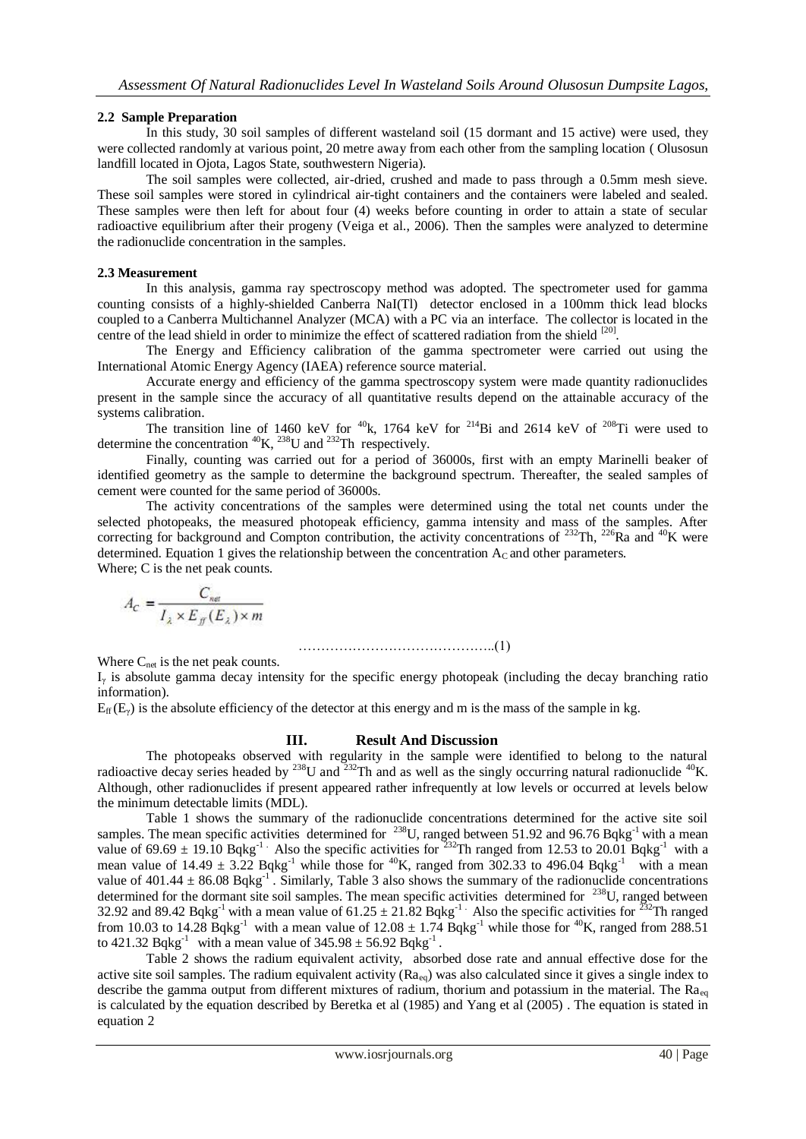#### **2.2 Sample Preparation**

In this study, 30 soil samples of different wasteland soil (15 dormant and 15 active) were used, they were collected randomly at various point, 20 metre away from each other from the sampling location ( Olusosun landfill located in Ojota, Lagos State, southwestern Nigeria).

The soil samples were collected, air-dried, crushed and made to pass through a 0.5mm mesh sieve. These soil samples were stored in cylindrical air-tight containers and the containers were labeled and sealed. These samples were then left for about four (4) weeks before counting in order to attain a state of secular radioactive equilibrium after their progeny (Veiga et al., 2006). Then the samples were analyzed to determine the radionuclide concentration in the samples.

#### **2.3 Measurement**

In this analysis, gamma ray spectroscopy method was adopted. The spectrometer used for gamma counting consists of a highly-shielded Canberra NaI(Tl) detector enclosed in a 100mm thick lead blocks coupled to a Canberra Multichannel Analyzer (MCA) with a PC via an interface. The collector is located in the centre of the lead shield in order to minimize the effect of scattered radiation from the shield [20].

The Energy and Efficiency calibration of the gamma spectrometer were carried out using the International Atomic Energy Agency (IAEA) reference source material.

Accurate energy and efficiency of the gamma spectroscopy system were made quantity radionuclides present in the sample since the accuracy of all quantitative results depend on the attainable accuracy of the systems calibration.

The transition line of 1460 keV for  $40k$ , 1764 keV for  $214Bi$  and 2614 keV of  $208Ti$  were used to determine the concentration  ${}^{40}$ K,  ${}^{238}$ U and  ${}^{232}$ Th respectively.

Finally, counting was carried out for a period of 36000s, first with an empty Marinelli beaker of identified geometry as the sample to determine the background spectrum. Thereafter, the sealed samples of cement were counted for the same period of 36000s.

The activity concentrations of the samples were determined using the total net counts under the selected photopeaks, the measured photopeak efficiency, gamma intensity and mass of the samples. After correcting for background and Compton contribution, the activity concentrations of  $^{232}$ Th,  $^{226}$ Ra and  $^{40}$ K were determined. Equation 1 gives the relationship between the concentration  $A_C$  and other parameters. Where; C is the net peak counts.

$$
A_C = \frac{C_{ne}}{I_{\lambda} \times E_{ff}(E_{\lambda}) \times m}
$$

……………………………………..(1)

Where  $C_{net}$  is the net peak counts.

 $I_{\gamma}$  is absolute gamma decay intensity for the specific energy photopeak (including the decay branching ratio information).

 $E_f(E_y)$  is the absolute efficiency of the detector at this energy and m is the mass of the sample in kg.

## **III. Result And Discussion**

The photopeaks observed with regularity in the sample were identified to belong to the natural radioactive decay series headed by  $^{238}$ U and  $^{232}$ Th and as well as the singly occurring natural radionuclide  $^{40}$ K. Although, other radionuclides if present appeared rather infrequently at low levels or occurred at levels below the minimum detectable limits (MDL).

Table 1 shows the summary of the radionuclide concentrations determined for the active site soil samples. The mean specific activities determined for  $^{238}$ U, ranged between 51.92 and 96.76 Bqkg<sup>-1</sup> with a mean value of 69.69  $\pm$  19.10 Bqkg<sup>-1</sup>. Also the specific activities for <sup>232</sup>Th ranged from 12.53 to 20.01 Bqkg<sup>-1</sup> with a mean value of  $14.49 \pm 3.22$  Bqkg<sup>-1</sup> while those for <sup>40</sup>K, ranged from 302.33 to 496.04 Bqkg<sup>-1</sup> with a mean value of 401.44  $\pm$  86.08 Bqkg<sup>-1</sup>. Similarly, Table 3 also shows the summary of the radionuclide concentrations determined for the dormant site soil samples. The mean specific activities determined for <sup>238</sup>U, ranged between 32.92 and 89.42 Bqkg<sup>-1</sup> with a mean value of  $61.25 \pm 21.82$  Bqkg<sup>-1</sup> Also the specific activities for <sup>232</sup>Th ranged from 10.03 to 14.28 Bqkg<sup>-1</sup> with a mean value of  $12.08 \pm 1.74$  Bqkg<sup>-1</sup> while those for <sup>40</sup>K, ranged from 288.51 to 421.32 Bqkg<sup>-1</sup> with a mean value of  $345.98 \pm 56.92$  Bqkg<sup>-1</sup>.

Table 2 shows the radium equivalent activity, absorbed dose rate and annual effective dose for the active site soil samples. The radium equivalent activity  $(R_{\alpha_{eq}})$  was also calculated since it gives a single index to describe the gamma output from different mixtures of radium, thorium and potassium in the material. The  $Ra_{eq}$ is calculated by the equation described by Beretka et al (1985) and Yang et al (2005) . The equation is stated in equation 2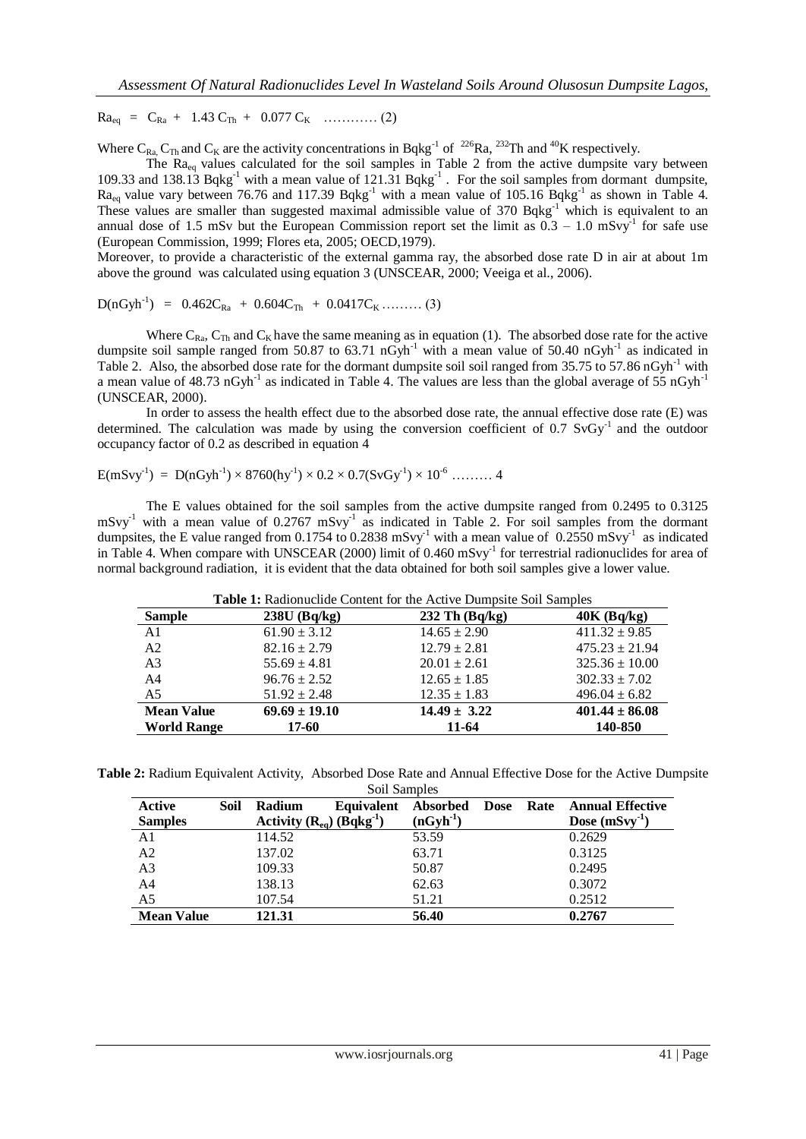$Ra_{eq} = C_{Ra} + 1.43 C_{Th} + 0.077 C_{K}$  ………… (2)

Where C<sub>Ra,</sub> C<sub>Th</sub> and C<sub>K</sub> are the activity concentrations in Bqkg<sup>-1</sup> of <sup>226</sup>Ra, <sup>232</sup>Th and <sup>40</sup>K respectively.

The Ra<sub>eq</sub> values calculated for the soil samples in Table 2 from the active dumpsite vary between 109.33 and 138.13 Bqkg<sup>-1</sup> with a mean value of 121.31 Bqkg<sup>-1</sup>. For the soil samples from dormant dumpsite,  $Ra_{eq}$  value vary between 76.76 and 117.39 Bqkg<sup>-1</sup> with a mean value of 105.16 Bqkg<sup>-1</sup> as shown in Table 4. These values are smaller than suggested maximal admissible value of 370 Bqkg<sup>-1</sup> which is equivalent to an annual dose of 1.5 mSv but the European Commission report set the limit as  $0.3 - 1.0$  mSvy<sup>-1</sup> for safe use (European Commission, 1999; Flores eta, 2005; OECD,1979).

Moreover, to provide a characteristic of the external gamma ray, the absorbed dose rate D in air at about 1m above the ground was calculated using equation 3 (UNSCEAR, 2000; Veeiga et al., 2006).

 $D(nGyh^{-1}) = 0.462C_{Ra} + 0.604C_{Th} + 0.0417C_{K}$  ……… (3)

Where  $C_{\text{Ra}}$ ,  $C_{\text{Th}}$  and  $C_{\text{K}}$  have the same meaning as in equation (1). The absorbed dose rate for the active dumpsite soil sample ranged from 50.87 to 63.71  $nGyh^{-1}$  with a mean value of 50.40  $nGyh^{-1}$  as indicated in Table 2. Also, the absorbed dose rate for the dormant dumpsite soil soil ranged from 35.75 to 57.86 nGyh<sup>-1</sup> with a mean value of 48.73 nGyh<sup>-1</sup> as indicated in Table 4. The values are less than the global average of 55 nGyh<sup>-1</sup> (UNSCEAR, 2000).

In order to assess the health effect due to the absorbed dose rate, the annual effective dose rate (E) was determined. The calculation was made by using the conversion coefficient of 0.7  $SvGv^{-1}$  and the outdoor occupancy factor of 0.2 as described in equation 4

E(mSvy-1 ) = D(nGyh-1 ) × 8760(hy-1 ) × 0.2 × 0.7(SvGy-1 ) × 10-6 ……… 4

The E values obtained for the soil samples from the active dumpsite ranged from 0.2495 to 0.3125  $mSvy<sup>-1</sup>$  with a mean value of 0.2767  $mSvy<sup>-1</sup>$  as indicated in Table 2. For soil samples from the dormant dumpsites, the E value ranged from 0.1754 to 0.2838 mSvy<sup>-1</sup> with a mean value of 0.2550 mSvy<sup>-1</sup> as indicated in Table 4. When compare with UNSCEAR (2000) limit of 0.460 mSvy<sup>-1</sup> for terrestrial radionuclides for area of normal background radiation, it is evident that the data obtained for both soil samples give a lower value.

| <b>Sample</b>                           | $238U$ (Bq/kg)             | $232$ Th $(Bq/kg)$        | $40K$ (Bq/kg)                 |
|-----------------------------------------|----------------------------|---------------------------|-------------------------------|
| A <sub>1</sub>                          | $61.90 \pm 3.12$           | $14.65 \pm 2.90$          | $411.32 \pm 9.85$             |
| A <sub>2</sub>                          | $82.16 \pm 2.79$           | $12.79 \pm 2.81$          | $475.23 \pm 21.94$            |
| A <sub>3</sub>                          | $55.69 \pm 4.81$           | $20.01 \pm 2.61$          | $325.36 \pm 10.00$            |
| A <sub>4</sub>                          | $96.76 \pm 2.52$           | $12.65 \pm 1.85$          | $302.33 \pm 7.02$             |
| A <sub>5</sub>                          | $51.92 \pm 2.48$           | $12.35 \pm 1.83$          | $496.04 \pm 6.82$             |
| <b>Mean Value</b><br><b>World Range</b> | $69.69 \pm 19.10$<br>17-60 | $14.49 \pm 3.22$<br>11-64 | $401.44 \pm 86.08$<br>140-850 |

**Table 2:** Radium Equivalent Activity, Absorbed Dose Rate and Annual Effective Dose for the Active Dumpsite

| Soil Samples      |      |                                   |            |                 |             |      |                         |
|-------------------|------|-----------------------------------|------------|-----------------|-------------|------|-------------------------|
| Active            | Soil | Radium                            | Equivalent | <b>Absorbed</b> | <b>Dose</b> | Rate | <b>Annual Effective</b> |
| <b>Samples</b>    |      | Activity $(R_{ea})$ $(Bqkg^{-1})$ |            | $(nGyh^{-1})$   |             |      | Dose $(mSvy-1)$         |
| A1                |      | 114.52                            |            | 53.59           |             |      | 0.2629                  |
| A <sub>2</sub>    |      | 137.02                            |            | 63.71           |             |      | 0.3125                  |
| A <sub>3</sub>    |      | 109.33                            |            | 50.87           |             |      | 0.2495                  |
| A <sub>4</sub>    |      | 138.13                            |            | 62.63           |             |      | 0.3072                  |
| A <sub>5</sub>    |      | 107.54                            |            | 51.21           |             |      | 0.2512                  |
| <b>Mean Value</b> |      | 121.31                            |            | 56.40           |             |      | 0.2767                  |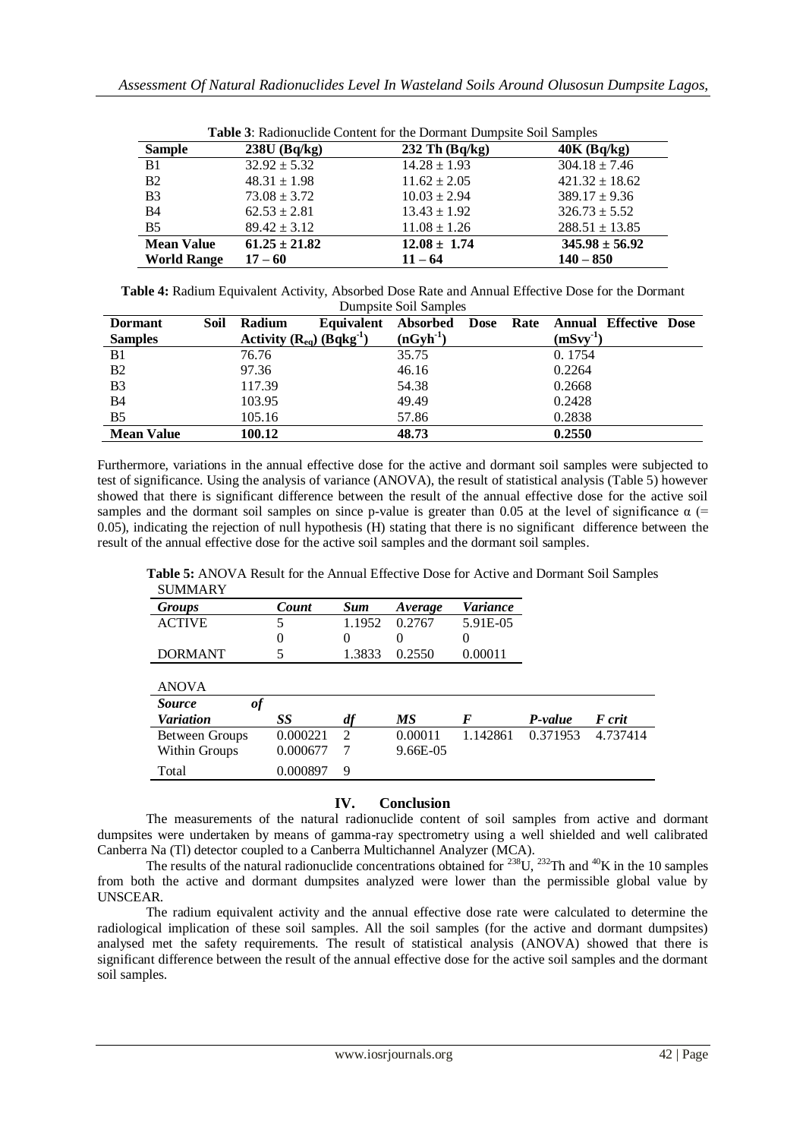| <b>Table 3:</b> Radionuclide Content for the Dormant Dumpsite Soil Samples |                   |                    |                    |  |  |  |  |
|----------------------------------------------------------------------------|-------------------|--------------------|--------------------|--|--|--|--|
| <b>Sample</b>                                                              | $238U$ (Bq/kg)    | $232$ Th $(Bq/kg)$ | $40K$ (Bq/kg)      |  |  |  |  |
| B1                                                                         | $32.92 \pm 5.32$  | $14.28 \pm 1.93$   | $304.18 \pm 7.46$  |  |  |  |  |
| B <sub>2</sub>                                                             | $48.31 \pm 1.98$  | $11.62 \pm 2.05$   | $421.32 \pm 18.62$ |  |  |  |  |
| B <sub>3</sub>                                                             | $73.08 \pm 3.72$  | $10.03 \pm 2.94$   | $389.17 \pm 9.36$  |  |  |  |  |
| <b>B4</b>                                                                  | $62.53 \pm 2.81$  | $13.43 \pm 1.92$   | $326.73 \pm 5.52$  |  |  |  |  |
| B <sub>5</sub>                                                             | $89.42 \pm 3.12$  | $11.08 \pm 1.26$   | $288.51 \pm 13.85$ |  |  |  |  |
| <b>Mean Value</b>                                                          | $61.25 \pm 21.82$ | $12.08 \pm 1.74$   | $345.98 \pm 56.92$ |  |  |  |  |
| <b>World Range</b>                                                         | $17 - 60$         | $11 - 64$          | $140 - 850$        |  |  |  |  |

|  | <b>Table 3:</b> Radionuclide Content for the Dormant Dumpsite Soil Samples |
|--|----------------------------------------------------------------------------|
|  |                                                                            |

**Table 4:** Radium Equivalent Activity, Absorbed Dose Rate and Annual Effective Dose for the Dormant Dumpsite Soil Samples

| <b>Dormant</b>    | Soil | Radium |                                |               |  | Equivalent Absorbed Dose Rate Annual Effective Dose |  |
|-------------------|------|--------|--------------------------------|---------------|--|-----------------------------------------------------|--|
| <b>Samples</b>    |      |        | Activity $(R_{eq})$ $(Bqkg-1)$ | $(nGyh^{-1})$ |  | $(mSvy-1)$                                          |  |
| B <sub>1</sub>    |      | 76.76  |                                | 35.75         |  | 0.1754                                              |  |
| B <sub>2</sub>    |      | 97.36  |                                | 46.16         |  | 0.2264                                              |  |
| B <sub>3</sub>    |      | 117.39 |                                | 54.38         |  | 0.2668                                              |  |
| <b>B4</b>         |      | 103.95 |                                | 49.49         |  | 0.2428                                              |  |
| B <sub>5</sub>    |      | 105.16 |                                | 57.86         |  | 0.2838                                              |  |
| <b>Mean Value</b> |      | 100.12 |                                | 48.73         |  | 0.2550                                              |  |

Furthermore, variations in the annual effective dose for the active and dormant soil samples were subjected to test of significance. Using the analysis of variance (ANOVA), the result of statistical analysis (Table 5) however showed that there is significant difference between the result of the annual effective dose for the active soil samples and the dormant soil samples on since p-value is greater than 0.05 at the level of significance  $\alpha$  (= 0.05), indicating the rejection of null hypothesis (H) stating that there is no significant difference between the result of the annual effective dose for the active soil samples and the dormant soil samples.

**Table 5:** ANOVA Result for the Annual Effective Dose for Active and Dormant Soil Samples

| <b>SUMMARY</b>      |          |                             |          |          |          |          |
|---------------------|----------|-----------------------------|----------|----------|----------|----------|
| Groups              | Count    | Sum                         | Average  | Variance |          |          |
| <b>ACTIVE</b>       | 5        | 1.1952                      | 0.2767   | 5.91E-05 |          |          |
|                     | 0        | $\Omega$                    | 0        | $\theta$ |          |          |
| <b>DORMANT</b>      |          | 1.3833                      | 0.2550   | 0.00011  |          |          |
|                     |          |                             |          |          |          |          |
| <b>ANOVA</b>        |          |                             |          |          |          |          |
| of<br><i>Source</i> |          |                             |          |          |          |          |
| <b>Variation</b>    | SS       | df                          | МS       | F        | P-value  | F crit   |
| Between Groups      | 0.000221 | $\mathcal{D}_{\mathcal{L}}$ | 0.00011  | 1.142861 | 0.371953 | 4.737414 |
| Within Groups       | 0.000677 | 7                           | 9.66E-05 |          |          |          |
| Total               | 0.000897 | 9                           |          |          |          |          |

## **IV. Conclusion**

The measurements of the natural radionuclide content of soil samples from active and dormant dumpsites were undertaken by means of gamma-ray spectrometry using a well shielded and well calibrated Canberra Na (Tl) detector coupled to a Canberra Multichannel Analyzer (MCA).

The results of the natural radionuclide concentrations obtained for  $238U$ ,  $232TH$  and  $40K$  in the 10 samples from both the active and dormant dumpsites analyzed were lower than the permissible global value by UNSCEAR.

The radium equivalent activity and the annual effective dose rate were calculated to determine the radiological implication of these soil samples. All the soil samples (for the active and dormant dumpsites) analysed met the safety requirements. The result of statistical analysis (ANOVA) showed that there is significant difference between the result of the annual effective dose for the active soil samples and the dormant soil samples.